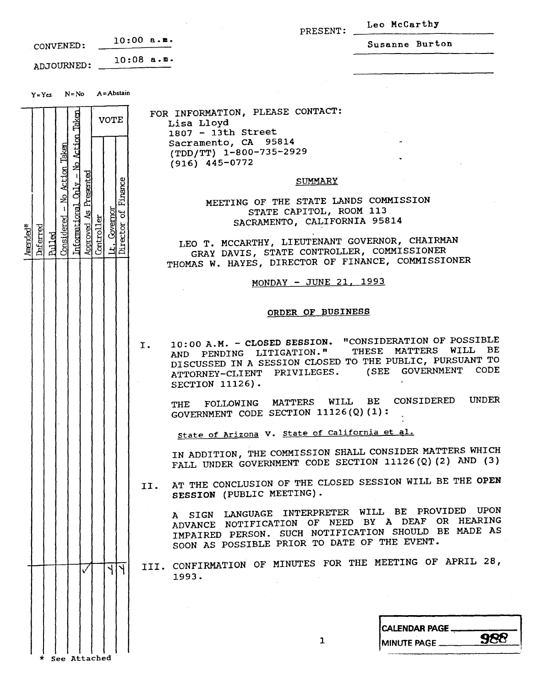|                                                                                                                                                                                                                                                                             | PRESENT:                                                                                                                                                                                                                                                                                                                                                                                                                                                                                                                                                                                                                                                                                                                                                                                                                                                                                                                                                                                                                                                                                                                                                                                                                                      | Leo McCarthy                               |
|-----------------------------------------------------------------------------------------------------------------------------------------------------------------------------------------------------------------------------------------------------------------------------|-----------------------------------------------------------------------------------------------------------------------------------------------------------------------------------------------------------------------------------------------------------------------------------------------------------------------------------------------------------------------------------------------------------------------------------------------------------------------------------------------------------------------------------------------------------------------------------------------------------------------------------------------------------------------------------------------------------------------------------------------------------------------------------------------------------------------------------------------------------------------------------------------------------------------------------------------------------------------------------------------------------------------------------------------------------------------------------------------------------------------------------------------------------------------------------------------------------------------------------------------|--------------------------------------------|
| CONVENED:                                                                                                                                                                                                                                                                   | $10:00$ a.m.                                                                                                                                                                                                                                                                                                                                                                                                                                                                                                                                                                                                                                                                                                                                                                                                                                                                                                                                                                                                                                                                                                                                                                                                                                  | Susanne Burton                             |
| ADJOURNED:                                                                                                                                                                                                                                                                  | 10:08 a.m.                                                                                                                                                                                                                                                                                                                                                                                                                                                                                                                                                                                                                                                                                                                                                                                                                                                                                                                                                                                                                                                                                                                                                                                                                                    |                                            |
| $N = No$ $A = Abstain$<br>$Y = Ycs$                                                                                                                                                                                                                                         |                                                                                                                                                                                                                                                                                                                                                                                                                                                                                                                                                                                                                                                                                                                                                                                                                                                                                                                                                                                                                                                                                                                                                                                                                                               |                                            |
| Taken<br><b>VOTE</b><br>No Action<br>Taken<br>Action<br>Presented<br>Finance<br>$\overline{\text{Mn}}$<br>Informational<br>Covernot<br>$\sigma$<br>2<br>đ<br>Considered<br>Controlle<br>Approved<br>ector<br>Amended <sup>*</sup><br><u>Deferred</u><br><b>Pulled</b><br>계절 | FOR INFORMATION, PLEASE CONTACT:<br>Lisa Lloyd<br>1807 - 13th Street<br>Sacramento, CA 95814<br>(TDD/TT) 1-800-735-2929<br>$(916)$ 445-0772<br><b>SUMMARY</b><br>MEETING OF THE STATE LANDS COMMISSION<br>STATE CAPITOL, ROOM 113<br>SACRAMENTO, CALIFORNIA 95814<br>LEO T. MCCARTHY, LIEUTENANT GOVERNOR, CHAIRMAN<br>GRAY DAVIS, STATE CONTROLLER, COMMISSIONER<br>THOMAS W. HAYES, DIRECTOR OF FINANCE, COMMISSIONER<br>MONDAY - JUNE 21, 1993<br>ORDER OF BUSINESS<br>10:00 A.M. - CLOSED SESSION. "CONSIDERATION OF POSSIBLE<br>I.<br>AND PENDING LITIGATION."<br>DISCUSSED IN A SESSION CLOSED TO THE PUBLIC, PURSUANT TO<br>ATTORNEY-CLIENT PRIVILEGES. (SEE GOVERNMENT CODE<br>SECTION 11126).<br>THE FOLLOWING MATTERS WILL BE CONSIDERED UNDER<br>GOVERNMENT CODE SECTION $11126(Q)(1)$ :<br>State of Arizona V. State of California et al.<br>IN ADDITION, THE COMMISSION SHALL CONSIDER MATTERS WHICH<br>FALL UNDER GOVERNMENT CODE SECTION 11126(Q)(2) AND (3)<br>AT THE CONCLUSION OF THE CLOSED SESSION WILL BE THE OPEN<br>II.<br>SESSION (PUBLIC MEETING).<br>A SIGN LANGUAGE INTERPRETER WILL BE PROVIDED UPON<br>ADVANCE NOTIFICATION OF NEED BY A DEAF OR HEARING<br>IMPAIRED PERSON. SUCH NOTIFICATION SHOULD BE MADE AS | THESE MATTERS WILL BE                      |
| बाप<br>✓                                                                                                                                                                                                                                                                    | SOON AS POSSIBLE PRIOR TO DATE OF THE EVENT.<br>III. CONFIRMATION OF MINUTES FOR THE MEETING OF APRIL 28,<br>1993.                                                                                                                                                                                                                                                                                                                                                                                                                                                                                                                                                                                                                                                                                                                                                                                                                                                                                                                                                                                                                                                                                                                            |                                            |
|                                                                                                                                                                                                                                                                             |                                                                                                                                                                                                                                                                                                                                                                                                                                                                                                                                                                                                                                                                                                                                                                                                                                                                                                                                                                                                                                                                                                                                                                                                                                               |                                            |
|                                                                                                                                                                                                                                                                             |                                                                                                                                                                                                                                                                                                                                                                                                                                                                                                                                                                                                                                                                                                                                                                                                                                                                                                                                                                                                                                                                                                                                                                                                                                               |                                            |
|                                                                                                                                                                                                                                                                             | $\mathbf{1}$                                                                                                                                                                                                                                                                                                                                                                                                                                                                                                                                                                                                                                                                                                                                                                                                                                                                                                                                                                                                                                                                                                                                                                                                                                  | CALENDAR PAGE<br>988<br>MINUTE PAGE ______ |
|                                                                                                                                                                                                                                                                             |                                                                                                                                                                                                                                                                                                                                                                                                                                                                                                                                                                                                                                                                                                                                                                                                                                                                                                                                                                                                                                                                                                                                                                                                                                               |                                            |

 $\begin{array}{c|c|c|c|c} \hline \end{array}$   $\begin{array}{c|c|c} \hline \end{array}$  see Attached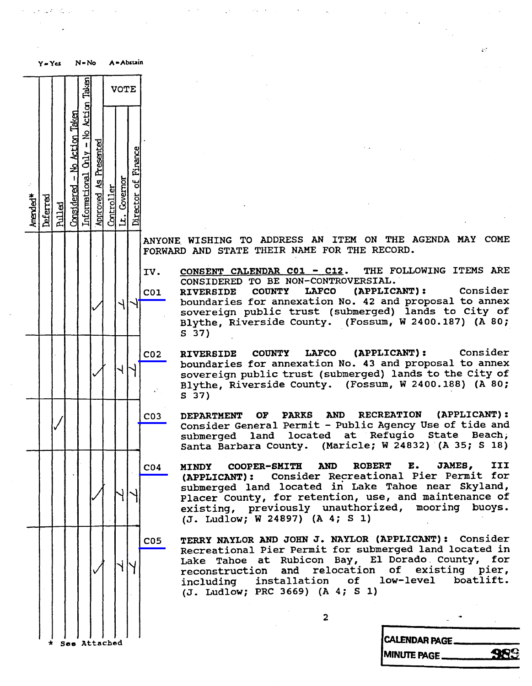|          | 7 = 1 05 |               |                              |                                      |                       |            |              |                     |                              |                                                                                                |
|----------|----------|---------------|------------------------------|--------------------------------------|-----------------------|------------|--------------|---------------------|------------------------------|------------------------------------------------------------------------------------------------|
|          |          |               |                              |                                      |                       |            | <b>VOTE</b>  |                     |                              |                                                                                                |
| Amended* | Deferred | <b>Rulled</b> | Considered - No Action Taken | Informational Only - No Action Taken | Approved As Presented | Controller | Lt. Covernor | Director of Finance |                              |                                                                                                |
|          |          |               |                              |                                      |                       |            |              |                     | <b>ANYONE</b><br>FORWARD AND | WISHI<br>£                                                                                     |
|          |          |               |                              |                                      |                       |            |              |                     | IV.<br>C <sub>01</sub>       | <b>CONSENT</b><br>CONSIDI<br><b>RIVERS</b><br>boundar<br>soverei<br>Blythe,<br>S <sub>37</sub> |
|          |          |               |                              |                                      |                       |            |              |                     | CO <sub>2</sub>              | <b>RIVERS</b><br>boundar<br>soverei<br>Blythe,<br>S<br>37)                                     |
|          |          |               |                              |                                      |                       |            |              |                     | CO <sub>3</sub>              | <b>DEPARTI</b><br>Conside<br>submerg<br>Santa<br>I                                             |
|          |          |               |                              |                                      |                       |            |              |                     | CO <sub>4</sub>              | <b>MINDY</b><br>(APPLIO<br>submero<br>Placer<br>existim<br>$(J.$ Lud                           |
|          |          |               |                              |                                      |                       |            |              |                     | C <sub>05</sub>              | <b>TERRY N</b><br>Recreat<br>Lake<br>Т<br>reconst<br>includi<br>(J. Lud                        |
|          |          |               |                              |                                      |                       |            |              |                     |                              |                                                                                                |

ANYONE WISHING TO ADDRESS AN ITEM ON THE AGENDA MAI CO.<br>RODUARD AND COACE GUETD NAME FOR GUE DECORD FORWARD AND STATE THEIR NAME FOR THE RECORD.

IV. CONSENT CALENDAR CO1 - C12. THE FOLLOWING ITEMS ARE CONSIDERED TO BE NON-CONTROVERS

RIVERSIDE COUNTY LAFCO (APPLICANT): Consider<br>boundaries for annexation No. 42 and proposal to annex sovereign public trust (submerged) lands to City of sovereign public trust (submerged) Blythe, Riverside County. (Fossum, W 2400.16 S 37)

CO2 RIVERSIDE COUNTY LAFCO (APPLICANT): CONSide<br>consideration for appointion No. 42 and proposal to appe boundaries for annexation No. 43 and propo sovereign public trust (submerged) lands Blythe, Riverside County. (Fossum, W 2400. S 37)

BEPARTMENT OF PARKS AND RECREATION (APPLICANT):<br>Consider-General-Permit -- Public-Agency-Use-of-tide-and submerged land located at Refugio State Beach; submerged iand located at Ref Santa Barbara County. (Maricle; W 24832) (A 35

MINDY COOPER-SMITH AND ROBERT E. JAMES, III<br>(APPLICANT): Consider Recreational Pier Permit for submerged land located in Lake Tahoe near Skyland, Placer County, for retention, use, and maintenance of Placer County, for retention, use, and maintenance of existing, previously unauthorized, mooring buo<br>(I Indian W 24897) (A 4: S 1) (J. Ludlow; W 24897) (A 4; S 1)

205 TERRY NAYLOR AND JOHN J. NAYLOR (APPLICANT) : Consider Recreational Pier Permit for submerged land located in Lake Tahoe at Rubicon Bay, El Dorado County, for<br>reconstruction and relocation of existing pier, reconstruction and relocation of<br>including installation of low-le including installation of low-level boatl (J. Ludlow; PRC 3669) (A 4; S 1)

2

| See Attached | CALENDAR PAGE.                       |
|--------------|--------------------------------------|
|              | QQ.<br><b>MINUTE PAGE.</b><br>75 T.P |
|              |                                      |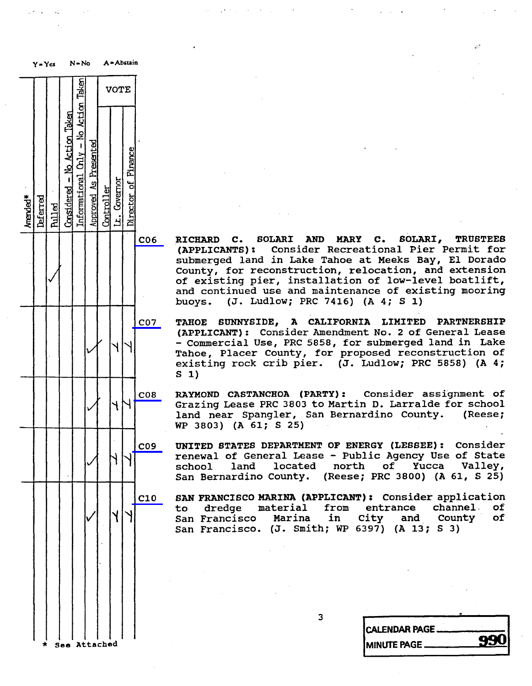Y - Yes N- No A - Abstain Taken VOTE Action No Action Taken  $\overline{2}$  $\mathbf{I}$ Chly Financ  $\mathbf{I}$  $\frac{1}{2}$ Governor 8 Deferred Approved As Presented Controller Lt. Governor Amended \* Pulled Considered - No Action Taken Informational Only - No Action Taken Director of Finance  $V$ 

C06 RICHARD C. SOLARI AND MARY C. SOLARI, TRUSTEES<br>(APPLICANTS): Consider Recreational Pier Permit for **TRUSTEES** submerged land in Lake Tahoe at Meeks Bay, El Dorado submerged land in Lake Tahoe at Meeks Bay, I County, for reconstruction, relocation of existing pier, installation of low-<br>and continued use and maintenance of e and continued use and maintenance of existing<br>huara = (I Indian: DDC 2416) (A 4, C 1) buoys. (J. Ludlow; PRC 7416) (A 4; S 1)

CO/ TAHOE SUNNYSIDE, A CALIFORNIA LIMITED PARTNERSH (APPLICANT): CONSIDER AMENDMENT NO. 2 OF GENERAL AMERICANT): CONSIDER AMENDMENT NO. 2 OF GENERAL - Commercial Use, PRC 5858, for submerged land in Lake Tahoe, Placer County, for proposed reconstruction of existing rock crib pier. (J. Ludlow; PRC 5858) (A 4; s 1)

C08 RAYMOND CASTANCHOA (PARTY): CONSider assignment<br>Crasing Lease PPC 2802 to Martin D. Larraldo for 50 Grazing Lease PRC 3803 to Martin D. Larralde land near Spangler, San Bernardino County. (Reese; WP 3803) (A 61; S 25)

C09 UNITED STATES DEPARTMENT OF ENERGY (LESSEE) : Consider renewal of General Lease - Public Agency school land located north of Yucca Valley, San Bernardino County. (Reese; PRC 3800) (A 61, S

C10 SAN FRANCISCO MARINA (APPLICANT) : Consider application to dredge material from entr<br>San-Francisco Marina in City San Francisco Marina in City and San Francisco. (J. Smith; WP 6397) channel . County o,  $\mathbf{o}$ 

3

|                | -                     |
|----------------|-----------------------|
|                | <b>CALENDAR PAGE.</b> |
|                | <b>990</b>            |
| * See Attached | <b>MINUTE PAGE</b>    |